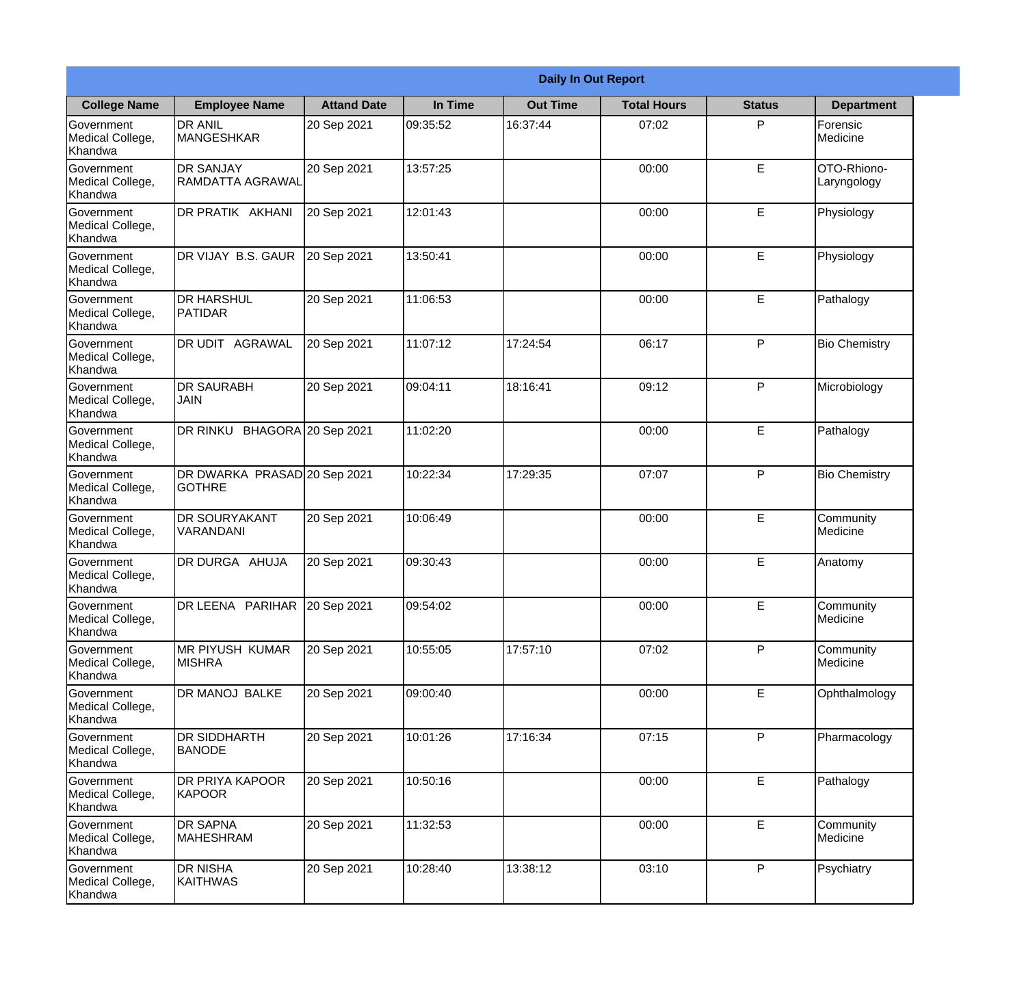|                                                  | <b>Daily In Out Report</b>                    |                    |          |                 |                    |               |                            |
|--------------------------------------------------|-----------------------------------------------|--------------------|----------|-----------------|--------------------|---------------|----------------------------|
| <b>College Name</b>                              | <b>Employee Name</b>                          | <b>Attand Date</b> | In Time  | <b>Out Time</b> | <b>Total Hours</b> | <b>Status</b> | <b>Department</b>          |
| Government<br>Medical College,<br>Khandwa        | <b>DR ANIL</b><br><b>MANGESHKAR</b>           | 20 Sep 2021        | 09:35:52 | 16:37:44        | 07:02              | P             | Forensic<br>Medicine       |
| Government<br>Medical College,<br>Khandwa        | <b>DR SANJAY</b><br>RAMDATTA AGRAWAL          | 20 Sep 2021        | 13:57:25 |                 | 00:00              | E             | OTO-Rhiono-<br>Laryngology |
| <b>Government</b><br>Medical College,<br>Khandwa | DR PRATIK AKHANI                              | 20 Sep 2021        | 12:01:43 |                 | 00:00              | E             | Physiology                 |
| Government<br>Medical College,<br>Khandwa        | DR VIJAY B.S. GAUR                            | 20 Sep 2021        | 13:50:41 |                 | 00:00              | E             | Physiology                 |
| <b>Government</b><br>Medical College,<br>Khandwa | <b>DR HARSHUL</b><br><b>PATIDAR</b>           | 20 Sep 2021        | 11:06:53 |                 | 00:00              | E             | Pathalogy                  |
| Government<br>Medical College,<br>Khandwa        | DR UDIT AGRAWAL                               | 20 Sep 2021        | 11:07:12 | 17:24:54        | 06:17              | P             | <b>Bio Chemistry</b>       |
| Government<br>Medical College,<br>Khandwa        | <b>DR SAURABH</b><br><b>JAIN</b>              | 20 Sep 2021        | 09:04:11 | 18:16:41        | 09:12              | P             | Microbiology               |
| Government<br>Medical College,<br>Khandwa        | DR RINKU BHAGORA 20 Sep 2021                  |                    | 11:02:20 |                 | 00:00              | E             | Pathalogy                  |
| Government<br>Medical College,<br>Khandwa        | DR DWARKA PRASAD 20 Sep 2021<br><b>GOTHRE</b> |                    | 10:22:34 | 17:29:35        | 07:07              | P             | <b>Bio Chemistry</b>       |
| Government<br>Medical College,<br>Khandwa        | <b>DR SOURYAKANT</b><br>VARANDANI             | 20 Sep 2021        | 10:06:49 |                 | 00:00              | E             | Community<br>Medicine      |
| Government<br>Medical College,<br>Khandwa        | DR DURGA AHUJA                                | 20 Sep 2021        | 09:30:43 |                 | 00:00              | E             | Anatomy                    |
| Government<br>Medical College,<br>Khandwa        | DR LEENA PARIHAR                              | 20 Sep 2021        | 09:54:02 |                 | 00:00              | E             | Community<br>Medicine      |
| Government<br>Medical College,<br>Khandwa        | MR PIYUSH KUMAR<br><b>MISHRA</b>              | 20 Sep 2021        | 10:55:05 | 17:57:10        | 07:02              | P             | Community<br>Medicine      |
| Government<br>Medical College,<br>Khandwa        | DR MANOJ BALKE                                | 20 Sep 2021        | 09:00:40 |                 | 00:00              | E             | Ophthalmology              |
| Government<br>Medical College,<br>Khandwa        | <b>DR SIDDHARTH</b><br><b>BANODE</b>          | 20 Sep 2021        | 10:01:26 | 17:16:34        | 07:15              | P             | Pharmacology               |
| Government<br>Medical College,<br>Khandwa        | DR PRIYA KAPOOR<br>KAPOOR                     | 20 Sep 2021        | 10:50:16 |                 | 00:00              | E             | Pathalogy                  |
| Government<br>Medical College,<br>Khandwa        | <b>DR SAPNA</b><br>MAHESHRAM                  | 20 Sep 2021        | 11:32:53 |                 | 00:00              | E             | Community<br>Medicine      |
| Government<br>Medical College,<br>Khandwa        | <b>DR NISHA</b><br>KAITHWAS                   | 20 Sep 2021        | 10:28:40 | 13:38:12        | 03:10              | P             | Psychiatry                 |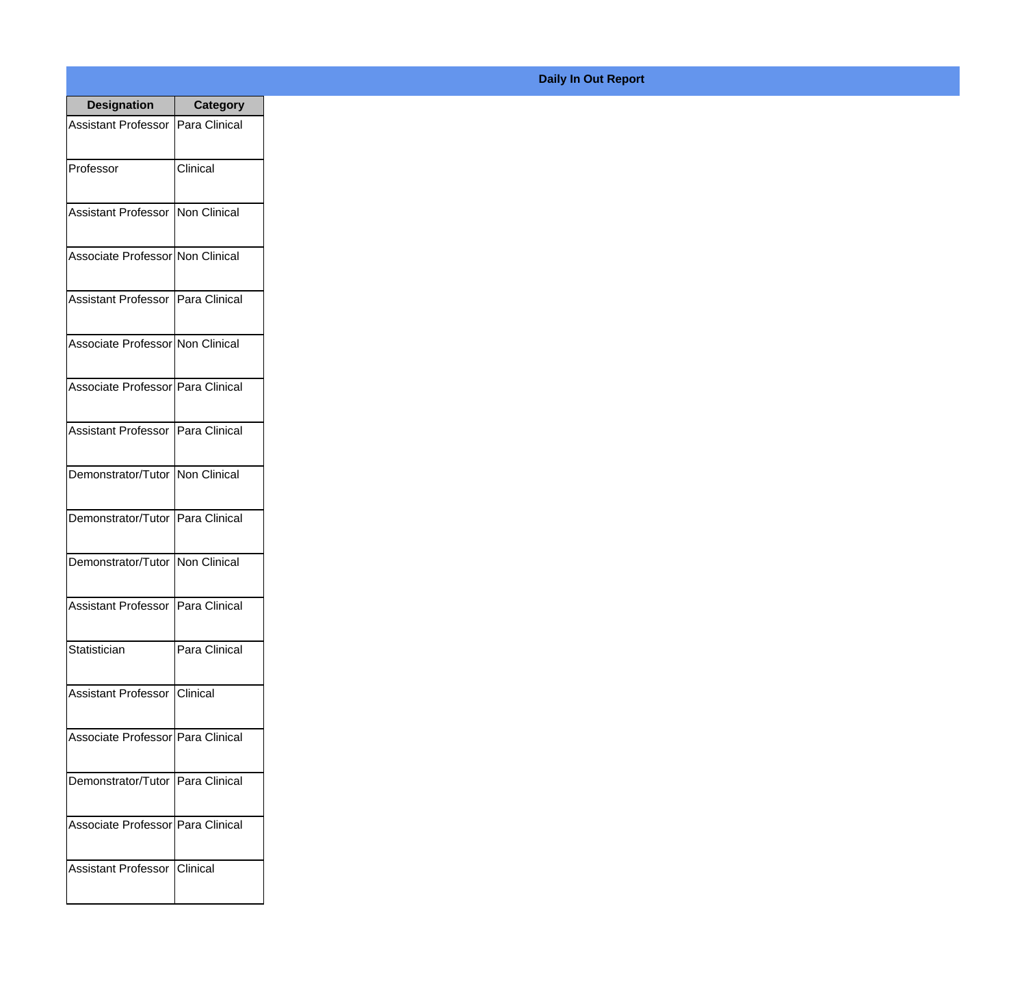| <b>Designation</b>                  | <b>Category</b> |
|-------------------------------------|-----------------|
| Assistant Professor   Para Clinical |                 |
| Professor                           | Clinical        |
| Assistant Professor   Non Clinical  |                 |
| Associate Professor Non Clinical    |                 |
| Assistant Professor   Para Clinical |                 |
| Associate Professor Non Clinical    |                 |
| Associate Professor Para Clinical   |                 |
| Assistant Professor   Para Clinical |                 |
| Demonstrator/Tutor   Non Clinical   |                 |
| Demonstrator/Tutor   Para Clinical  |                 |
| Demonstrator/Tutor   Non Clinical   |                 |
| Assistant Professor   Para Clinical |                 |
| Statistician                        | Para Clinical   |
| Assistant Professor   Clinical      |                 |
| Associate Professor Para Clinical   |                 |
| Demonstrator/Tutor   Para Clinical  |                 |
| Associate Professor   Para Clinical |                 |
| Assistant Professor   Clinical      |                 |

## **Daily In Out Report**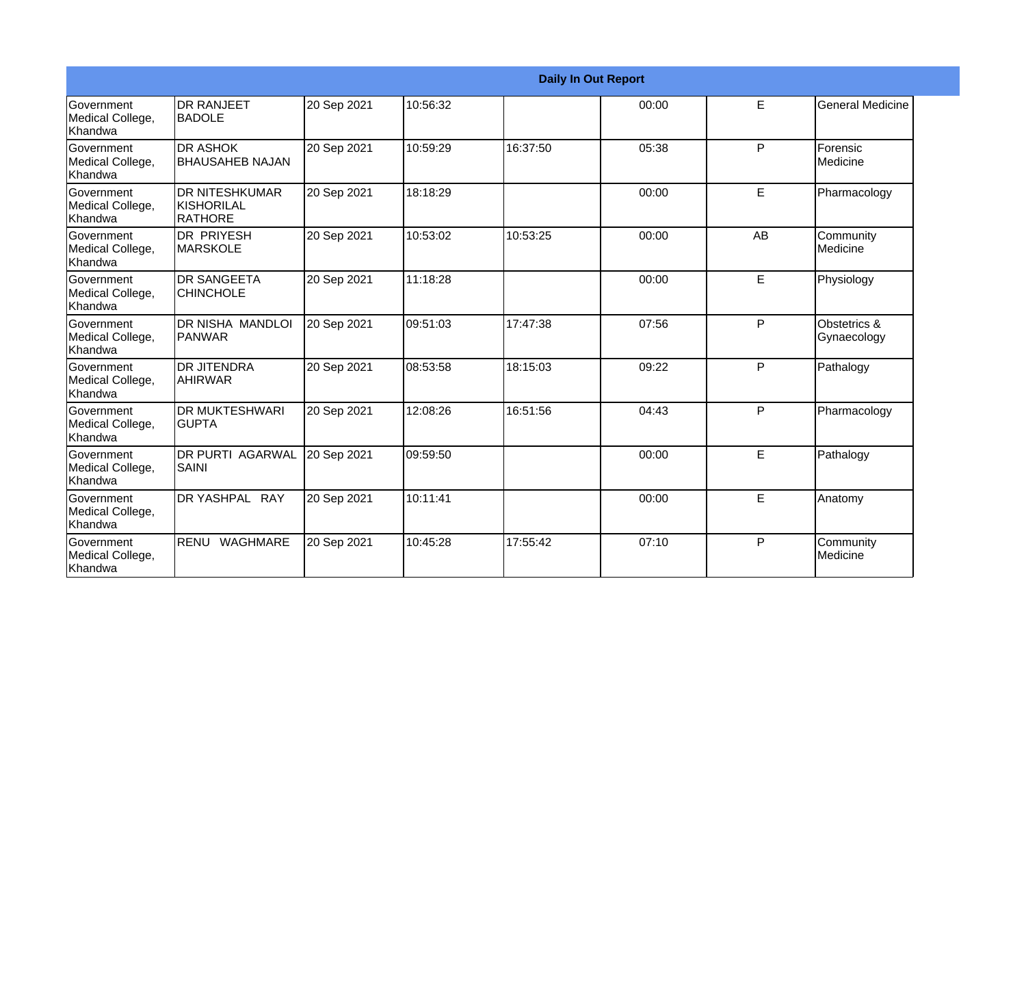|                                                  |                                                       |             |          |          | <b>Daily In Out Report</b> |           |                             |
|--------------------------------------------------|-------------------------------------------------------|-------------|----------|----------|----------------------------|-----------|-----------------------------|
| Government<br>Medical College,<br>Khandwa        | <b>DR RANJEET</b><br><b>BADOLE</b>                    | 20 Sep 2021 | 10:56:32 |          | 00:00                      | E         | <b>General Medicine</b>     |
| Government<br>Medical College,<br>Khandwa        | <b>DR ASHOK</b><br><b>BHAUSAHEB NAJAN</b>             | 20 Sep 2021 | 10:59:29 | 16:37:50 | 05:38                      | P         | Forensic<br>Medicine        |
| Government<br>Medical College,<br>Khandwa        | <b>DR NITESHKUMAR</b><br><b>KISHORILAL</b><br>RATHORE | 20 Sep 2021 | 18:18:29 |          | 00:00                      | E         | Pharmacology                |
| <b>Government</b><br>Medical College,<br>Khandwa | <b>DR PRIYESH</b><br><b>MARSKOLE</b>                  | 20 Sep 2021 | 10:53:02 | 10:53:25 | 00:00                      | <b>AB</b> | Community<br>Medicine       |
| Government<br>Medical College,<br>Khandwa        | <b>DR SANGEETA</b><br><b>CHINCHOLE</b>                | 20 Sep 2021 | 11:18:28 |          | 00:00                      | E         | Physiology                  |
| Government<br>Medical College,<br>Khandwa        | DR NISHA MANDLOI<br>PANWAR                            | 20 Sep 2021 | 09:51:03 | 17:47:38 | 07:56                      | P         | Obstetrics &<br>Gynaecology |
| Government<br>Medical College,<br>Khandwa        | <b>DR JITENDRA</b><br><b>AHIRWAR</b>                  | 20 Sep 2021 | 08:53:58 | 18:15:03 | 09:22                      | P         | Pathalogy                   |
| Government<br>Medical College,<br>Khandwa        | <b>DR MUKTESHWARI</b><br><b>GUPTA</b>                 | 20 Sep 2021 | 12:08:26 | 16:51:56 | 04:43                      | P         | Pharmacology                |
| Government<br>Medical College,<br>Khandwa        | <b>DR PURTI AGARWAL</b><br><b>SAINI</b>               | 20 Sep 2021 | 09:59:50 |          | 00:00                      | E         | Pathalogy                   |
| Government<br>Medical College,<br>Khandwa        | DR YASHPAL RAY                                        | 20 Sep 2021 | 10:11:41 |          | 00:00                      | E         | Anatomy                     |
| Government<br>Medical College,<br>Khandwa        | RENU WAGHMARE                                         | 20 Sep 2021 | 10:45:28 | 17:55:42 | 07:10                      | P         | Community<br>Medicine       |